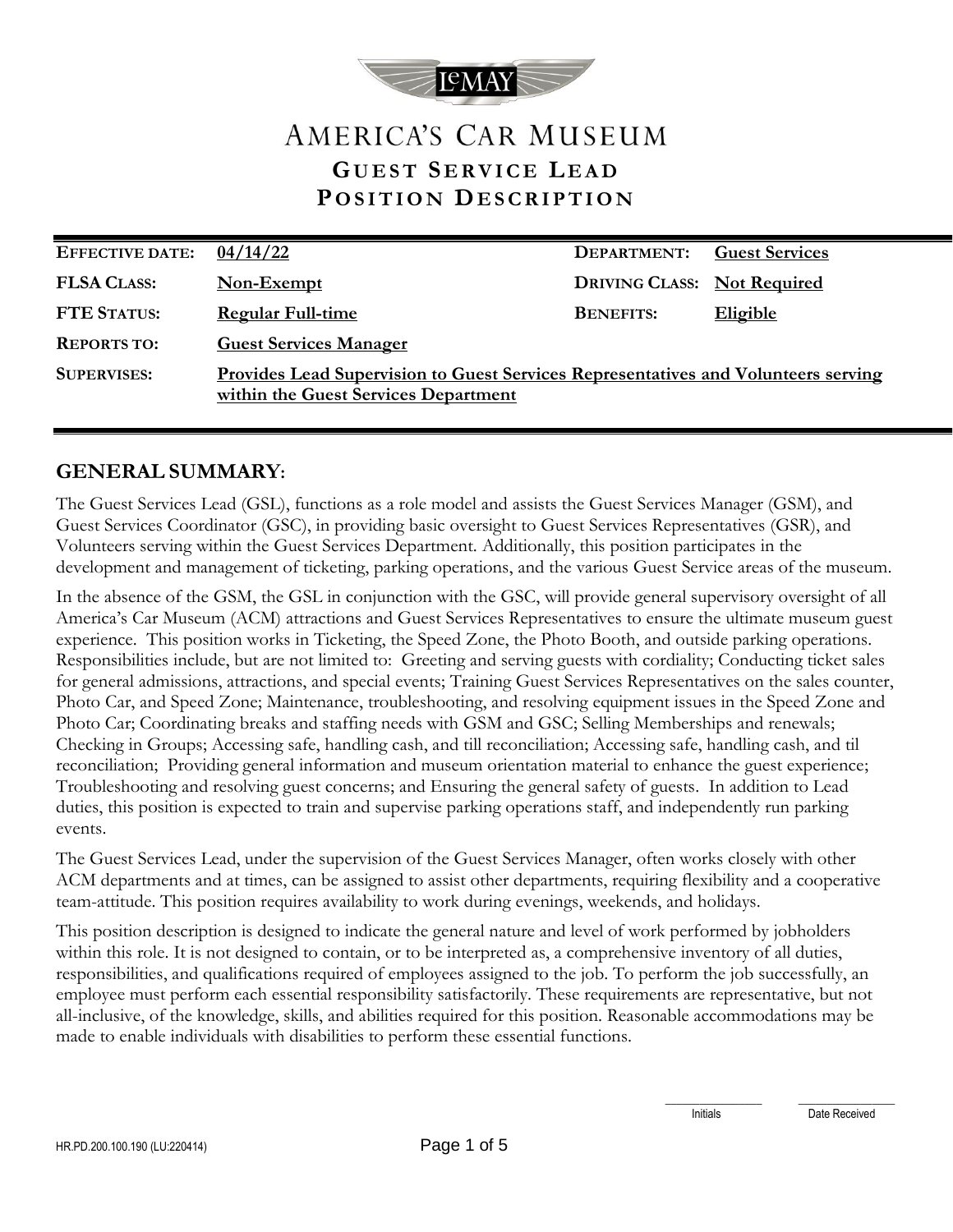

# AMERICA'S CAR MUSEUM **G U E S T S E R V I C E L E A D P O S I T I O N DE S C R I P T I O N**

| <b>EFFECTIVE DATE:</b> | 04/14/22                                                                                                                          | DEPARTMENT:                        | <b>Guest Services</b> |
|------------------------|-----------------------------------------------------------------------------------------------------------------------------------|------------------------------------|-----------------------|
| <b>FLSA CLASS:</b>     | Non-Exempt                                                                                                                        | <b>DRIVING CLASS:</b> Not Required |                       |
| <b>FTE STATUS:</b>     | <b>Regular Full-time</b>                                                                                                          | <b>BENEFITS:</b>                   | <b>Eligible</b>       |
| <b>REPORTS TO:</b>     | <b>Guest Services Manager</b>                                                                                                     |                                    |                       |
| <b>SUPERVISES:</b>     | <u>Provides Lead Supervision to Guest Services Representatives and Volunteers serving</u><br>within the Guest Services Department |                                    |                       |

### **GENERAL SUMMARY:**

The Guest Services Lead (GSL), functions as a role model and assists the Guest Services Manager (GSM), and Guest Services Coordinator (GSC), in providing basic oversight to Guest Services Representatives (GSR), and Volunteers serving within the Guest Services Department. Additionally, this position participates in the development and management of ticketing, parking operations, and the various Guest Service areas of the museum.

In the absence of the GSM, the GSL in conjunction with the GSC, will provide general supervisory oversight of all America's Car Museum (ACM) attractions and Guest Services Representatives to ensure the ultimate museum guest experience. This position works in Ticketing, the Speed Zone, the Photo Booth, and outside parking operations. Responsibilities include, but are not limited to: Greeting and serving guests with cordiality; Conducting ticket sales for general admissions, attractions, and special events; Training Guest Services Representatives on the sales counter, Photo Car, and Speed Zone; Maintenance, troubleshooting, and resolving equipment issues in the Speed Zone and Photo Car; Coordinating breaks and staffing needs with GSM and GSC; Selling Memberships and renewals; Checking in Groups; Accessing safe, handling cash, and till reconciliation; Accessing safe, handling cash, and til reconciliation; Providing general information and museum orientation material to enhance the guest experience; Troubleshooting and resolving guest concerns; and Ensuring the general safety of guests. In addition to Lead duties, this position is expected to train and supervise parking operations staff, and independently run parking events.

The Guest Services Lead, under the supervision of the Guest Services Manager, often works closely with other ACM departments and at times, can be assigned to assist other departments, requiring flexibility and a cooperative team-attitude. This position requires availability to work during evenings, weekends, and holidays.

This position description is designed to indicate the general nature and level of work performed by jobholders within this role. It is not designed to contain, or to be interpreted as, a comprehensive inventory of all duties, responsibilities, and qualifications required of employees assigned to the job. To perform the job successfully, an employee must perform each essential responsibility satisfactorily. These requirements are representative, but not all-inclusive, of the knowledge, skills, and abilities required for this position. Reasonable accommodations may be made to enable individuals with disabilities to perform these essential functions.

\_\_\_\_\_\_\_\_\_\_\_\_\_\_\_\_\_ \_\_\_\_\_\_\_\_\_\_\_\_\_\_\_\_\_

Initials Date Received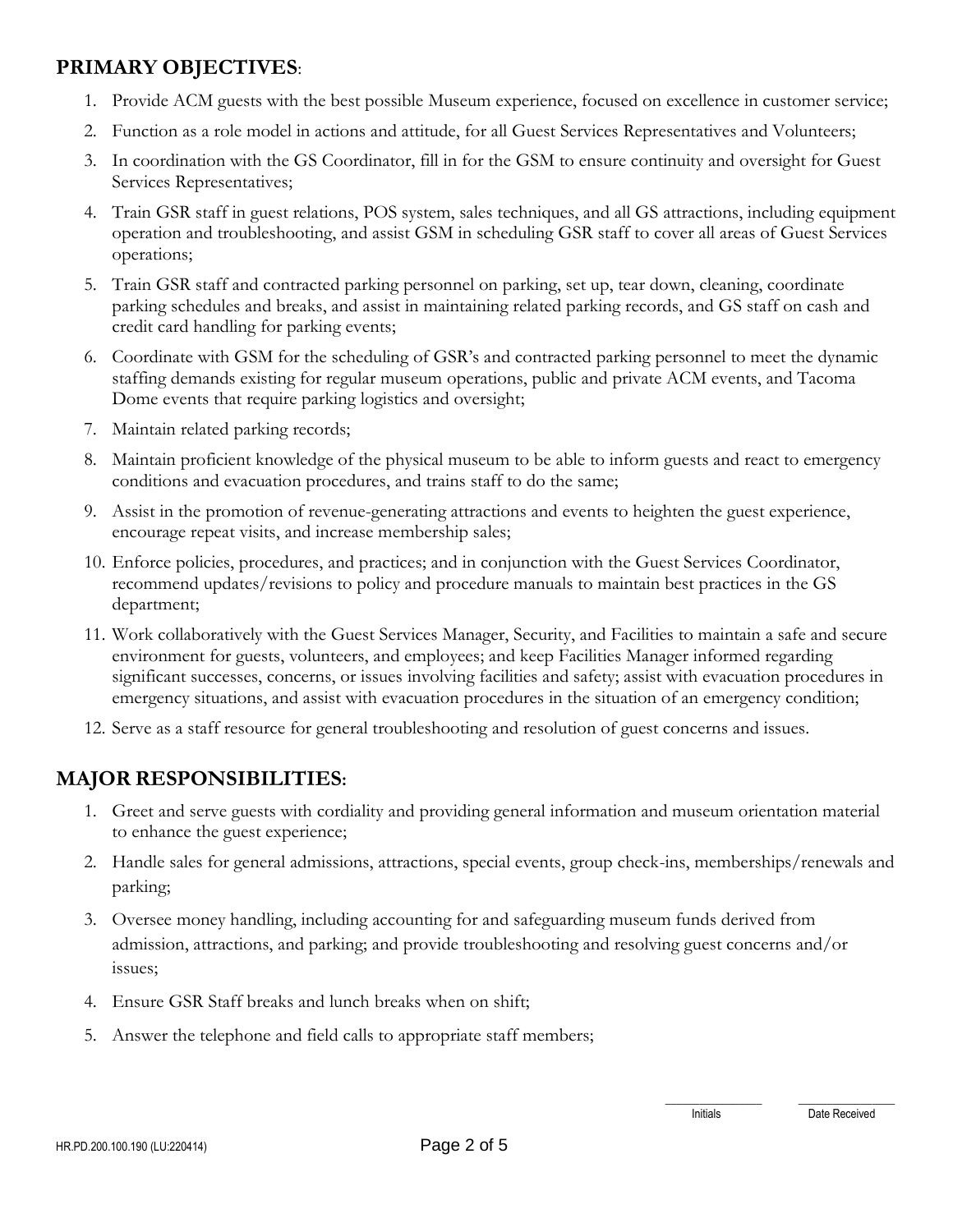## **PRIMARY OBJECTIVES**:

- 1. Provide ACM guests with the best possible Museum experience, focused on excellence in customer service;
- 2. Function as a role model in actions and attitude, for all Guest Services Representatives and Volunteers;
- 3. In coordination with the GS Coordinator, fill in for the GSM to ensure continuity and oversight for Guest Services Representatives;
- 4. Train GSR staff in guest relations, POS system, sales techniques, and all GS attractions, including equipment operation and troubleshooting, and assist GSM in scheduling GSR staff to cover all areas of Guest Services operations;
- 5. Train GSR staff and contracted parking personnel on parking, set up, tear down, cleaning, coordinate parking schedules and breaks, and assist in maintaining related parking records, and GS staff on cash and credit card handling for parking events;
- 6. Coordinate with GSM for the scheduling of GSR's and contracted parking personnel to meet the dynamic staffing demands existing for regular museum operations, public and private ACM events, and Tacoma Dome events that require parking logistics and oversight;
- 7. Maintain related parking records;
- 8. Maintain proficient knowledge of the physical museum to be able to inform guests and react to emergency conditions and evacuation procedures, and trains staff to do the same;
- 9. Assist in the promotion of revenue-generating attractions and events to heighten the guest experience, encourage repeat visits, and increase membership sales;
- 10. Enforce policies, procedures, and practices; and in conjunction with the Guest Services Coordinator, recommend updates/revisions to policy and procedure manuals to maintain best practices in the GS department;
- 11. Work collaboratively with the Guest Services Manager, Security, and Facilities to maintain a safe and secure environment for guests, volunteers, and employees; and keep Facilities Manager informed regarding significant successes, concerns, or issues involving facilities and safety; assist with evacuation procedures in emergency situations, and assist with evacuation procedures in the situation of an emergency condition;
- 12. Serve as a staff resource for general troubleshooting and resolution of guest concerns and issues.

# **MAJOR RESPONSIBILITIES:**

- 1. Greet and serve guests with cordiality and providing general information and museum orientation material to enhance the guest experience;
- 2. Handle sales for general admissions, attractions, special events, group check-ins, memberships/renewals and parking;
- 3. Oversee money handling, including accounting for and safeguarding museum funds derived from admission, attractions, and parking; and provide troubleshooting and resolving guest concerns and/or issues;
- 4. Ensure GSR Staff breaks and lunch breaks when on shift;
- 5. Answer the telephone and field calls to appropriate staff members;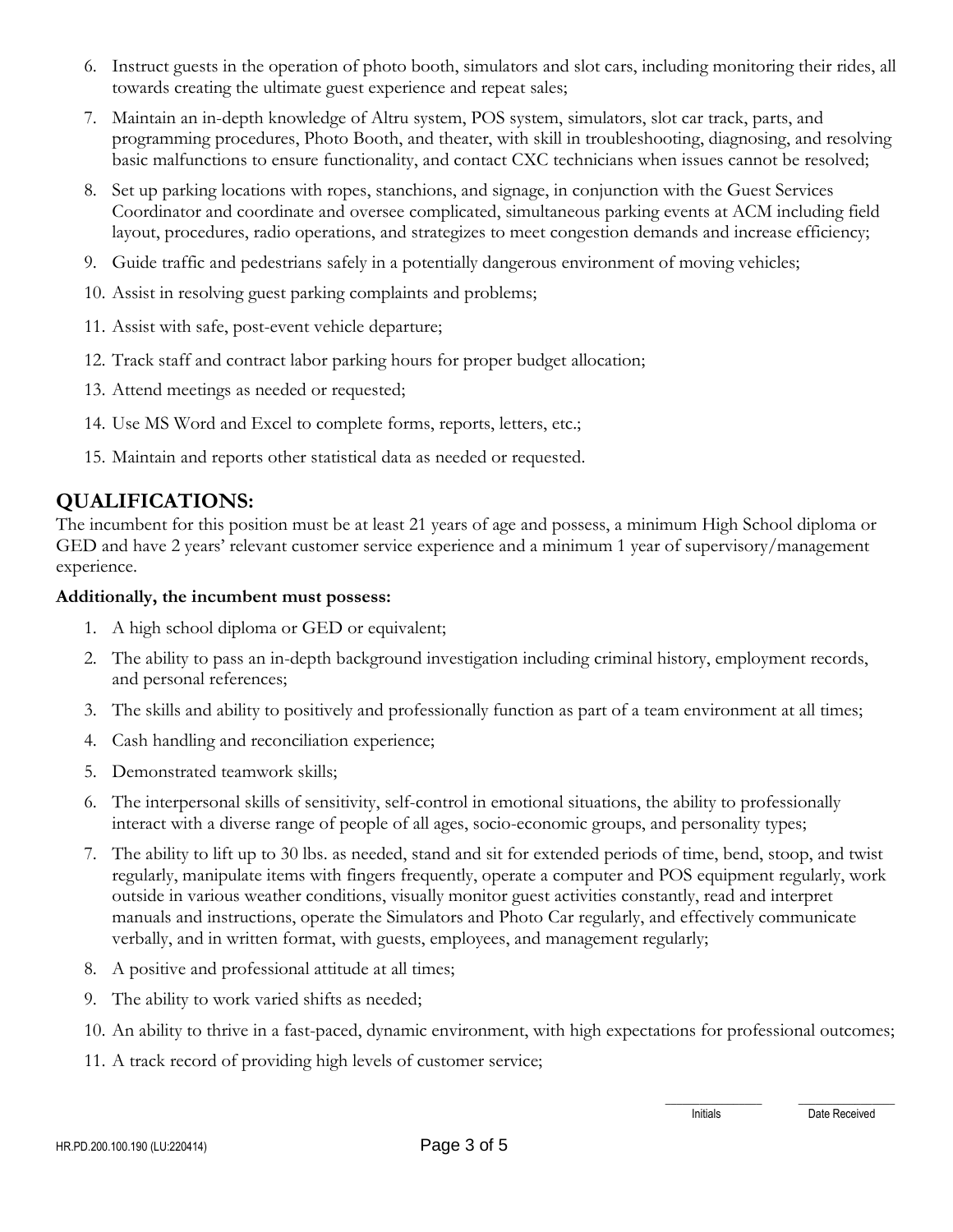- 6. Instruct guests in the operation of photo booth, simulators and slot cars, including monitoring their rides, all towards creating the ultimate guest experience and repeat sales;
- 7. Maintain an in-depth knowledge of Altru system, POS system, simulators, slot car track, parts, and programming procedures, Photo Booth, and theater, with skill in troubleshooting, diagnosing, and resolving basic malfunctions to ensure functionality, and contact CXC technicians when issues cannot be resolved;
- 8. Set up parking locations with ropes, stanchions, and signage, in conjunction with the Guest Services Coordinator and coordinate and oversee complicated, simultaneous parking events at ACM including field layout, procedures, radio operations, and strategizes to meet congestion demands and increase efficiency;
- 9. Guide traffic and pedestrians safely in a potentially dangerous environment of moving vehicles;
- 10. Assist in resolving guest parking complaints and problems;
- 11. Assist with safe, post-event vehicle departure;
- 12. Track staff and contract labor parking hours for proper budget allocation;
- 13. Attend meetings as needed or requested;
- 14. Use MS Word and Excel to complete forms, reports, letters, etc.;
- 15. Maintain and reports other statistical data as needed or requested.

### **QUALIFICATIONS:**

The incumbent for this position must be at least 21 years of age and possess, a minimum High School diploma or GED and have 2 years' relevant customer service experience and a minimum 1 year of supervisory/management experience.

#### **Additionally, the incumbent must possess:**

- 1. A high school diploma or GED or equivalent;
- 2. The ability to pass an in-depth background investigation including criminal history, employment records, and personal references;
- 3. The skills and ability to positively and professionally function as part of a team environment at all times;
- 4. Cash handling and reconciliation experience;
- 5. Demonstrated teamwork skills;
- 6. The interpersonal skills of sensitivity, self-control in emotional situations, the ability to professionally interact with a diverse range of people of all ages, socio-economic groups, and personality types;
- 7. The ability to lift up to 30 lbs. as needed, stand and sit for extended periods of time, bend, stoop, and twist regularly, manipulate items with fingers frequently, operate a computer and POS equipment regularly, work outside in various weather conditions, visually monitor guest activities constantly, read and interpret manuals and instructions, operate the Simulators and Photo Car regularly, and effectively communicate verbally, and in written format, with guests, employees, and management regularly;
- 8. A positive and professional attitude at all times;
- 9. The ability to work varied shifts as needed;
- 10. An ability to thrive in a fast-paced, dynamic environment, with high expectations for professional outcomes;
- 11. A track record of providing high levels of customer service;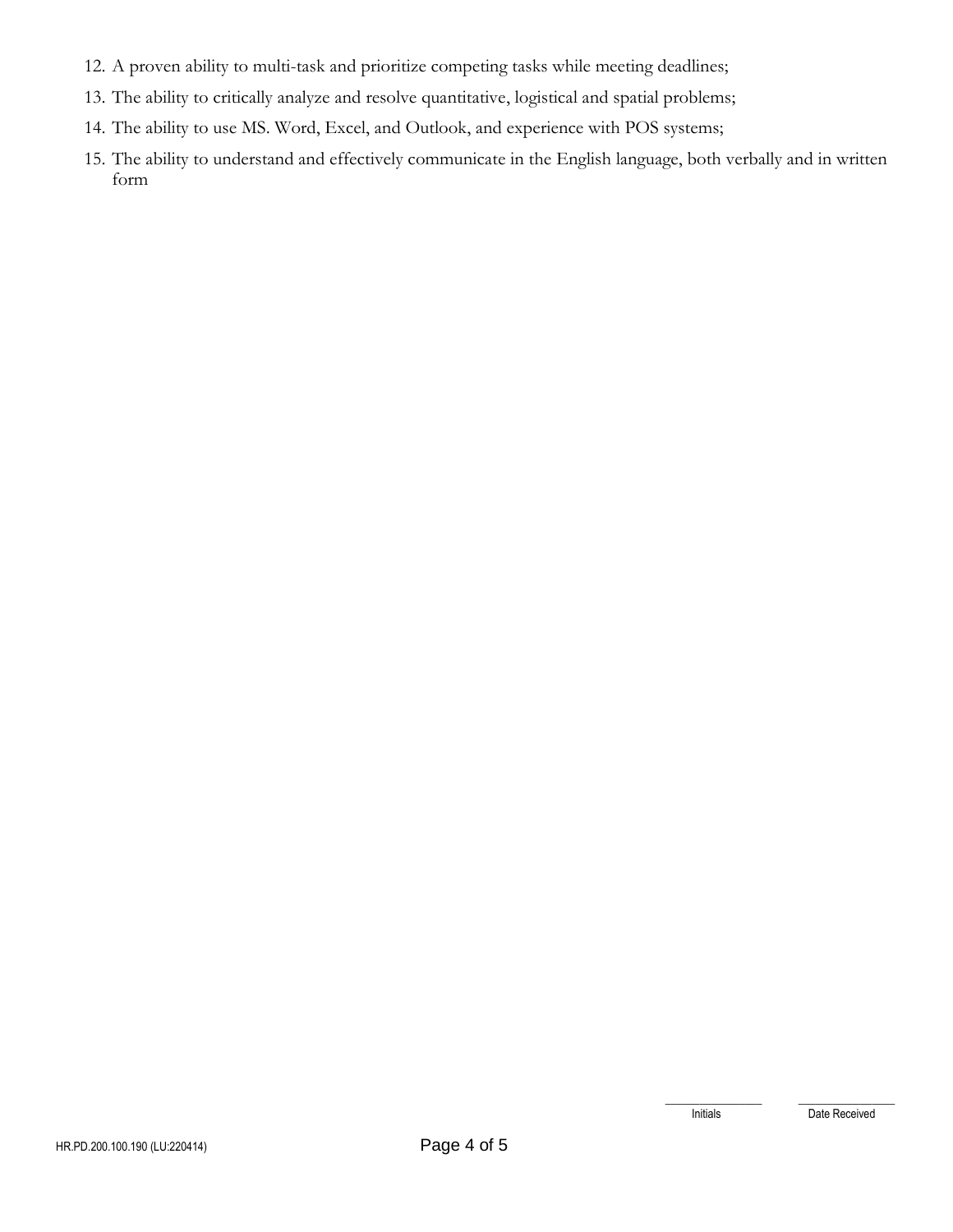- 12. A proven ability to multi-task and prioritize competing tasks while meeting deadlines;
- 13. The ability to critically analyze and resolve quantitative, logistical and spatial problems;
- 14. The ability to use MS. Word, Excel, and Outlook, and experience with POS systems;
- 15. The ability to understand and effectively communicate in the English language, both verbally and in written form

\_\_\_\_\_\_\_\_\_\_\_\_\_\_\_\_\_ \_\_\_\_\_\_\_\_\_\_\_\_\_\_\_\_\_